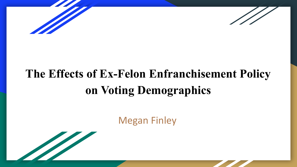



# **The Effects of Ex-Felon Enfranchisement Policy on Voting Demographics**

Megan Finley

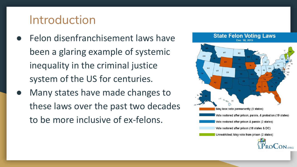#### Introduction

- Felon disenfranchisement laws have been a glaring example of systemic inequality in the criminal justice system of the US for centuries.
- Many states have made changes to these laws over the past two decades to be more inclusive of ex-felons.

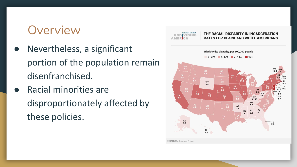#### **Overview**

- Nevertheless, a significant portion of the population remain disenfranchised.
- **Racial minorities are** disproportionately affected by these policies.

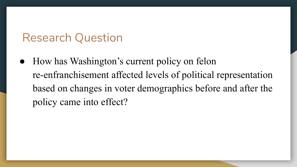#### Research Question

• How has Washington's current policy on felon re-enfranchisement affected levels of political representation based on changes in voter demographics before and after the policy came into effect?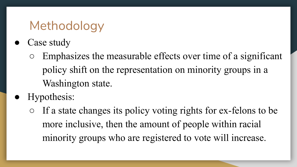# Methodology

- Case study
	- Emphasizes the measurable effects over time of a significant policy shift on the representation on minority groups in a Washington state.
- Hypothesis:
	- If a state changes its policy voting rights for ex-felons to be more inclusive, then the amount of people within racial minority groups who are registered to vote will increase.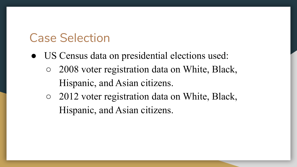## Case Selection

- US Census data on presidential elections used:
	- 2008 voter registration data on White, Black, Hispanic, and Asian citizens.
	- 2012 voter registration data on White, Black, Hispanic, and Asian citizens.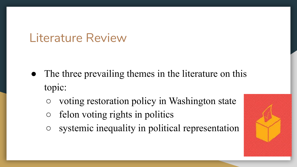#### Literature Review

- The three prevailing themes in the literature on this topic:
	- voting restoration policy in Washington state
	- $\circ$  felon voting rights in politics
	- systemic inequality in political representation

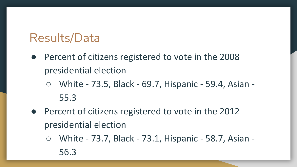## Results/Data

- Percent of citizens registered to vote in the 2008 presidential election
	- White 73.5, Black 69.7, Hispanic 59.4, Asian 55.3
- Percent of citizens registered to vote in the 2012 presidential election
	- White 73.7, Black 73.1, Hispanic 58.7, Asian 56.3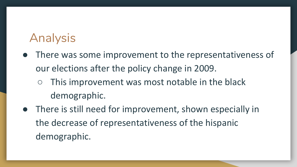# Analysis

- There was some improvement to the representativeness of our elections after the policy change in 2009.
	- $\circ$  This improvement was most notable in the black demographic.
- There is still need for improvement, shown especially in the decrease of representativeness of the hispanic demographic.